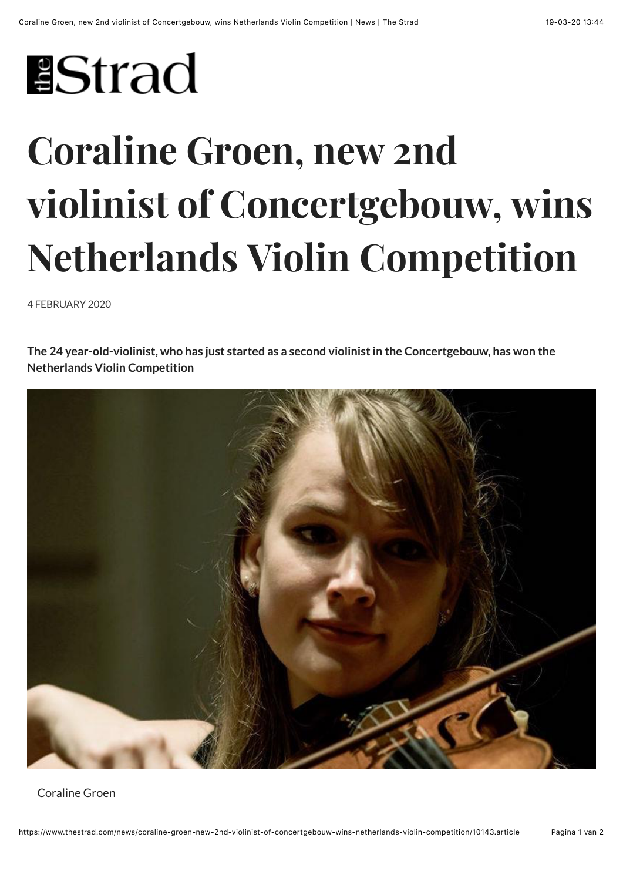## **IStrad**

## **Coraline Groen, new 2nd violinist of Concertgebouw, wins Netherlands Violin Competition**

4 FEBRUARY 2020

**The 24 year-old-violinist, who has just started as a second violinist in the Concertgebouw, has won the Netherlands Violin Competition**



Coraline Groen